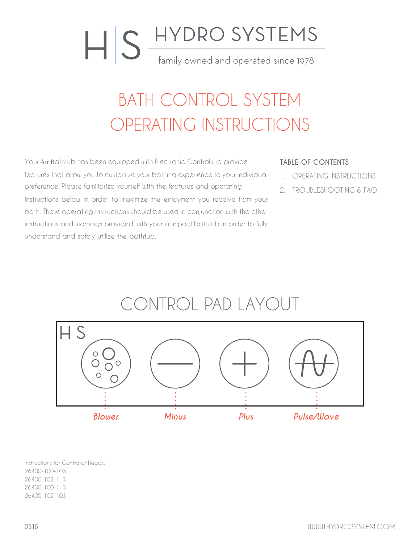# HIS HYDRO SYSTEMS family owned and operated since 1978

## BATH CONTROL SYSTEM OPERATING INSTRUCTIONS

Your Air Bathtub has been equipped with Electronic Controls to provide features that allow you to customize your bathing experience to your individual preference. Please familiarize yourself with the features and operating instructions below in order to maximize the enjoyment you receive from your bath. These operating instructions should be used in conjunction with the other instructions and warnings provided with your whirlpool bathtub in order to fully understand and safely utilize the bathtub.

#### **TABLE OF CONTENTS**

- 1. OPERATING INSTRUCTIONS
- 2. TROUBLESHOOTING & FAQ

### CONTROL PAD LAYOUT



Instructions for Controller Heads: 26400-100-103 26400-102-113 26400-100-113 26400-102-103